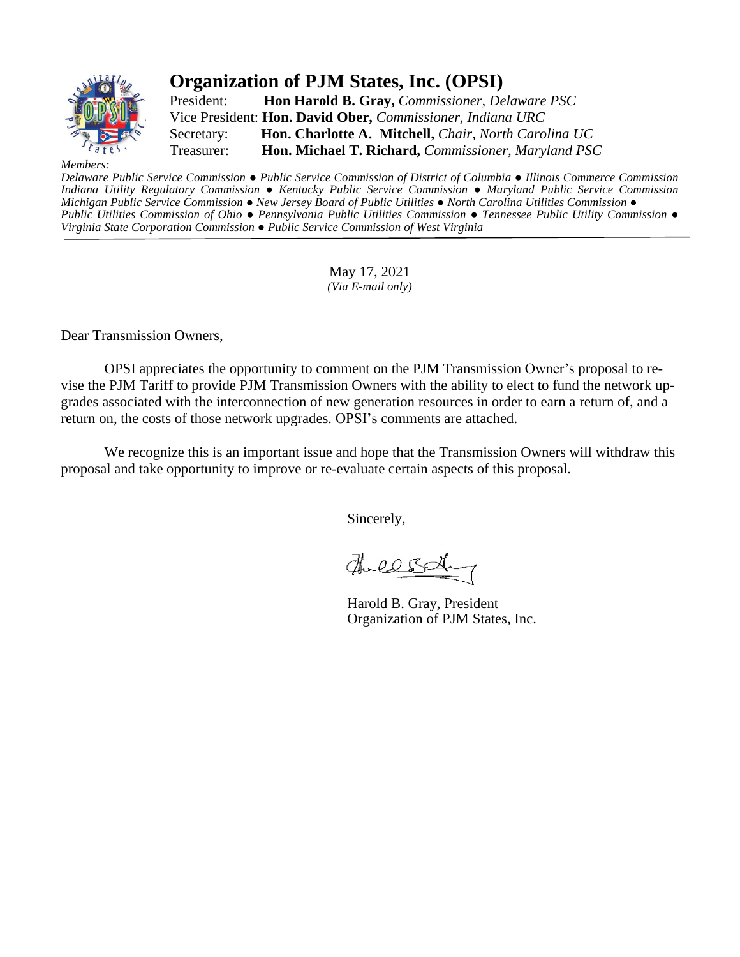

# **Organization of PJM States, Inc. (OPSI)**

President: **Hon Harold B. Gray,** *Commissioner, Delaware PSC* Vice President: **Hon. David Ober,** *Commissioner, Indiana URC* Secretary: **Hon. Charlotte A. Mitchell,** *Chair, North Carolina UC* Treasurer: **Hon. Michael T. Richard,** *Commissioner, Maryland PSC*

 $Membe$ 

Delaware Public Service Commission • Public Service Commission of District of Columbia • Illinois Commerce Commission *Indiana Utility Regulatory Commission ● Kentucky Public Service Commission ● Maryland Public Service Commission* Michigan Public Service Commission • New Jersey Board of Public Utilities • North Carolina Utilities Commission • Public Utilities Commission of Ohio • Pennsylvania Public Utilities Commission • Tennessee Public Utility Commission • *Virginia State Corporation Commission ● Public Service Commission of West Virginia*

> May 17, 2021 *(Via E-mail only)*

Dear Transmission Owners,

OPSI appreciates the opportunity to comment on the PJM Transmission Owner's proposal to revise the PJM Tariff to provide PJM Transmission Owners with the ability to elect to fund the network upgrades associated with the interconnection of new generation resources in order to earn a return of, and a return on, the costs of those network upgrades. OPSI's comments are attached.

We recognize this is an important issue and hope that the Transmission Owners will withdraw this proposal and take opportunity to improve or re-evaluate certain aspects of this proposal.

Sincerely,

Theless

 Harold B. Gray, President Organization of PJM States, Inc.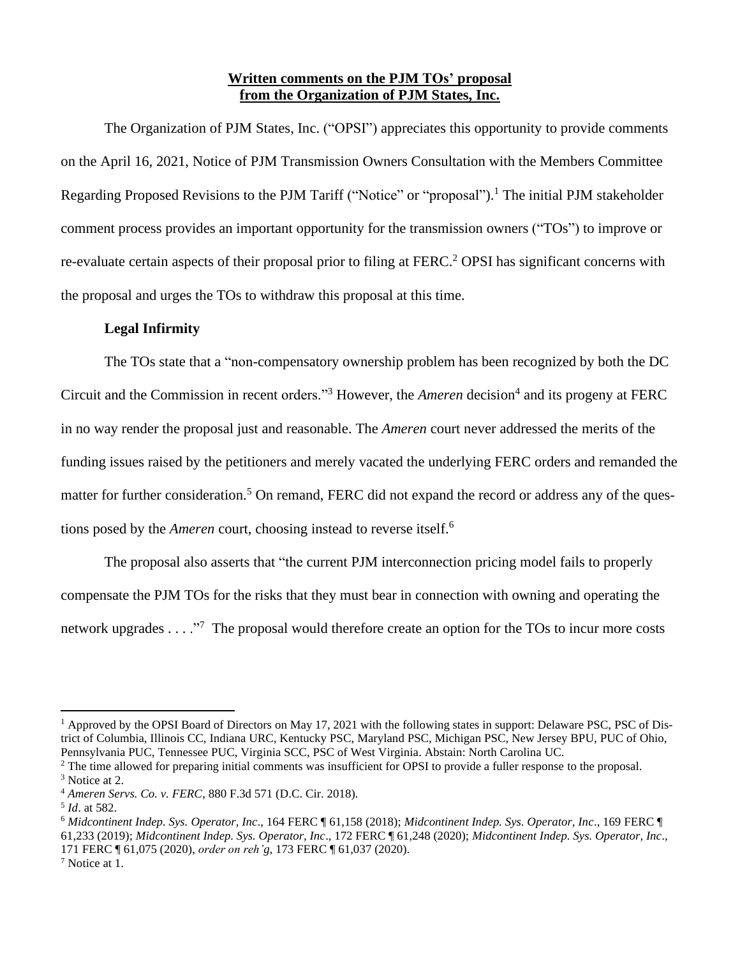### **Written comments on the PJM TOs' proposal from the Organization of PJM States, Inc.**

The Organization of PJM States, Inc. ("OPSI") appreciates this opportunity to provide comments on the April 16, 2021, Notice of PJM Transmission Owners Consultation with the Members Committee Regarding Proposed Revisions to the PJM Tariff ("Notice" or "proposal").<sup>1</sup> The initial PJM stakeholder comment process provides an important opportunity for the transmission owners ("TOs") to improve or re-evaluate certain aspects of their proposal prior to filing at FERC.<sup>2</sup> OPSI has significant concerns with the proposal and urges the TOs to withdraw this proposal at this time.

#### **Legal Infirmity**

The TOs state that a "non-compensatory ownership problem has been recognized by both the DC Circuit and the Commission in recent orders."<sup>3</sup> However, the *Ameren* decision<sup>4</sup> and its progeny at FERC in no way render the proposal just and reasonable. The *Ameren* court never addressed the merits of the funding issues raised by the petitioners and merely vacated the underlying FERC orders and remanded the matter for further consideration.<sup>5</sup> On remand, FERC did not expand the record or address any of the questions posed by the *Ameren* court, choosing instead to reverse itself.<sup>6</sup>

The proposal also asserts that "the current PJM interconnection pricing model fails to properly compensate the PJM TOs for the risks that they must bear in connection with owning and operating the network upgrades . . . ."<sup>7</sup> The proposal would therefore create an option for the TOs to incur more costs

<sup>&</sup>lt;sup>1</sup> Approved by the OPSI Board of Directors on May 17, 2021 with the following states in support: Delaware PSC, PSC of District of Columbia, Illinois CC, Indiana URC, Kentucky PSC, Maryland PSC, Michigan PSC, New Jersey BPU, PUC of Ohio, Pennsylvania PUC, Tennessee PUC, Virginia SCC, PSC of West Virginia. Abstain: North Carolina UC.

<sup>&</sup>lt;sup>2</sup> The time allowed for preparing initial comments was insufficient for OPSI to provide a fuller response to the proposal. <sup>3</sup> Notice at 2.

<sup>4</sup> *Ameren Servs. Co. v. FERC*, 880 F.3d 571 (D.C. Cir. 2018).

<sup>5</sup> *Id*. at 582.

<sup>6</sup> *Midcontinent Indep. Sys. Operator, Inc*., 164 FERC ¶ 61,158 (2018); *Midcontinent Indep. Sys. Operator, Inc*., 169 FERC ¶ 61,233 (2019); *Midcontinent Indep. Sys. Operator, Inc*., 172 FERC ¶ 61,248 (2020); *Midcontinent Indep. Sys. Operator, Inc*., 171 FERC ¶ 61,075 (2020), *order on reh'g*, 173 FERC ¶ 61,037 (2020).

<sup>7</sup> Notice at 1.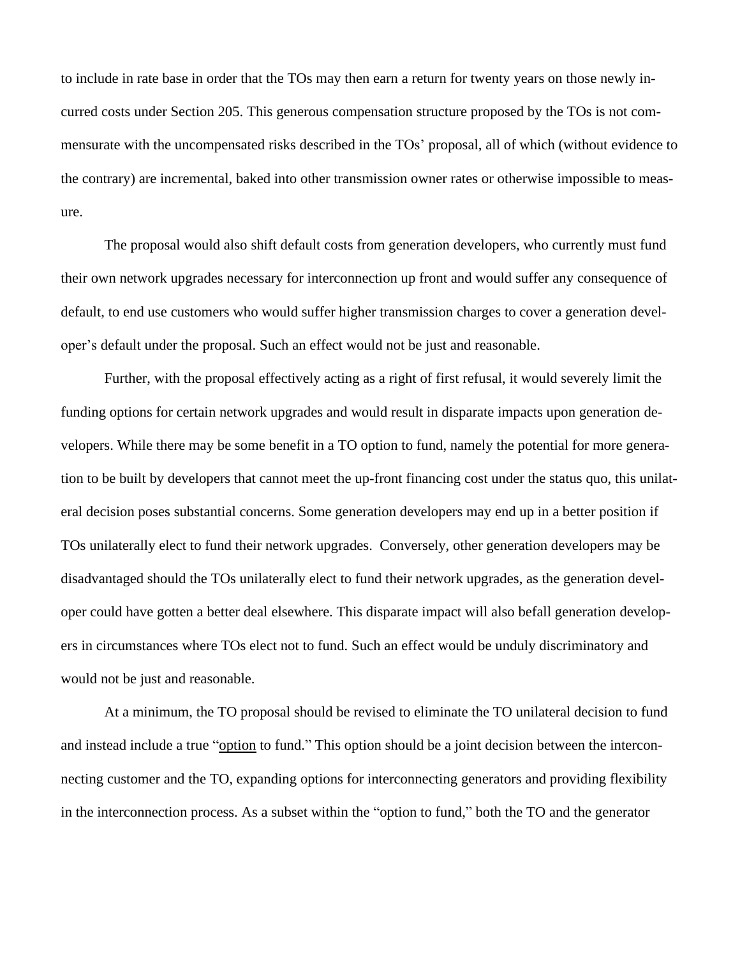to include in rate base in order that the TOs may then earn a return for twenty years on those newly incurred costs under Section 205. This generous compensation structure proposed by the TOs is not commensurate with the uncompensated risks described in the TOs' proposal, all of which (without evidence to the contrary) are incremental, baked into other transmission owner rates or otherwise impossible to measure.

The proposal would also shift default costs from generation developers, who currently must fund their own network upgrades necessary for interconnection up front and would suffer any consequence of default, to end use customers who would suffer higher transmission charges to cover a generation developer's default under the proposal. Such an effect would not be just and reasonable.

Further, with the proposal effectively acting as a right of first refusal, it would severely limit the funding options for certain network upgrades and would result in disparate impacts upon generation developers. While there may be some benefit in a TO option to fund, namely the potential for more generation to be built by developers that cannot meet the up-front financing cost under the status quo, this unilateral decision poses substantial concerns. Some generation developers may end up in a better position if TOs unilaterally elect to fund their network upgrades. Conversely, other generation developers may be disadvantaged should the TOs unilaterally elect to fund their network upgrades, as the generation developer could have gotten a better deal elsewhere. This disparate impact will also befall generation developers in circumstances where TOs elect not to fund. Such an effect would be unduly discriminatory and would not be just and reasonable.

At a minimum, the TO proposal should be revised to eliminate the TO unilateral decision to fund and instead include a true "option to fund." This option should be a joint decision between the interconnecting customer and the TO, expanding options for interconnecting generators and providing flexibility in the interconnection process. As a subset within the "option to fund," both the TO and the generator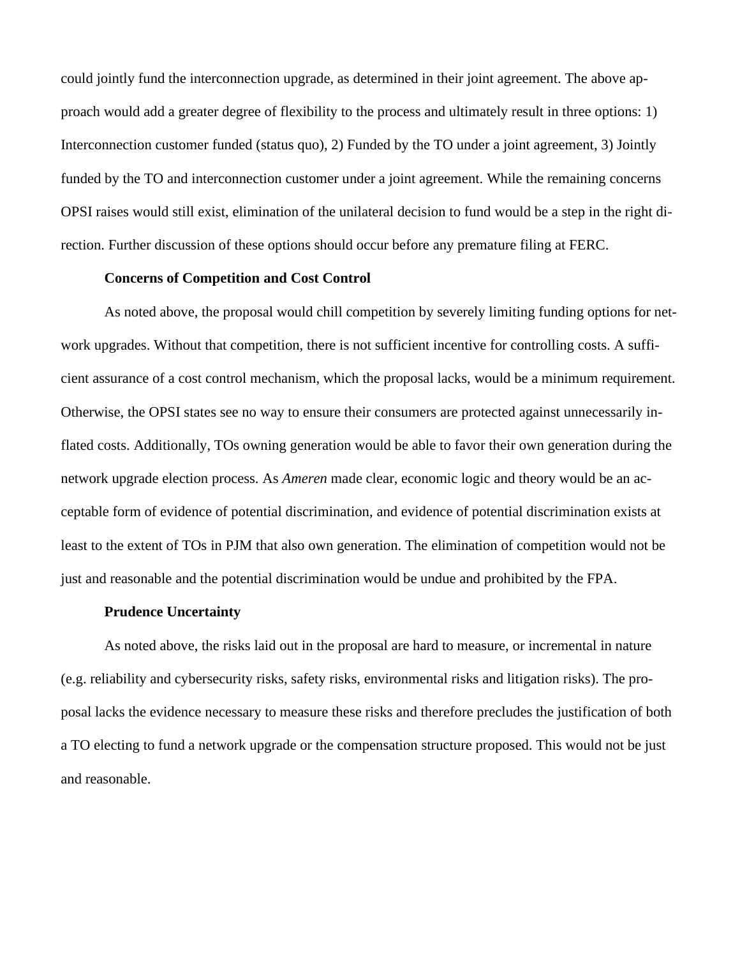could jointly fund the interconnection upgrade, as determined in their joint agreement. The above approach would add a greater degree of flexibility to the process and ultimately result in three options: 1) Interconnection customer funded (status quo), 2) Funded by the TO under a joint agreement, 3) Jointly funded by the TO and interconnection customer under a joint agreement. While the remaining concerns OPSI raises would still exist, elimination of the unilateral decision to fund would be a step in the right direction. Further discussion of these options should occur before any premature filing at FERC.

## **Concerns of Competition and Cost Control**

As noted above, the proposal would chill competition by severely limiting funding options for network upgrades. Without that competition, there is not sufficient incentive for controlling costs. A sufficient assurance of a cost control mechanism, which the proposal lacks, would be a minimum requirement. Otherwise, the OPSI states see no way to ensure their consumers are protected against unnecessarily inflated costs. Additionally, TOs owning generation would be able to favor their own generation during the network upgrade election process. As *Ameren* made clear, economic logic and theory would be an acceptable form of evidence of potential discrimination, and evidence of potential discrimination exists at least to the extent of TOs in PJM that also own generation. The elimination of competition would not be just and reasonable and the potential discrimination would be undue and prohibited by the FPA.

#### **Prudence Uncertainty**

As noted above, the risks laid out in the proposal are hard to measure, or incremental in nature (e.g. reliability and cybersecurity risks, safety risks, environmental risks and litigation risks). The proposal lacks the evidence necessary to measure these risks and therefore precludes the justification of both a TO electing to fund a network upgrade or the compensation structure proposed. This would not be just and reasonable.